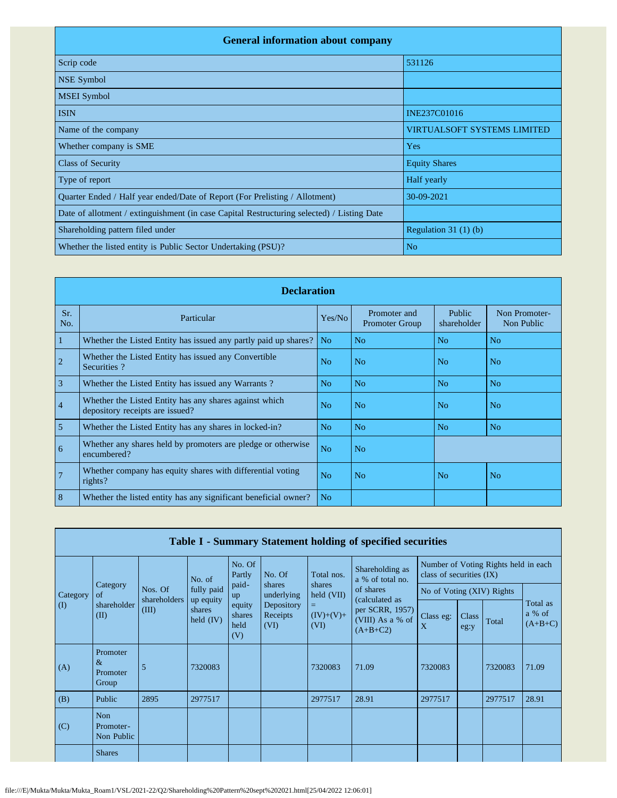| <b>General information about company</b>                                                   |                                    |  |  |  |  |  |  |  |
|--------------------------------------------------------------------------------------------|------------------------------------|--|--|--|--|--|--|--|
| Scrip code                                                                                 | 531126                             |  |  |  |  |  |  |  |
| <b>NSE Symbol</b>                                                                          |                                    |  |  |  |  |  |  |  |
| <b>MSEI</b> Symbol                                                                         |                                    |  |  |  |  |  |  |  |
| <b>ISIN</b>                                                                                | INE237C01016                       |  |  |  |  |  |  |  |
| Name of the company                                                                        | <b>VIRTUALSOFT SYSTEMS LIMITED</b> |  |  |  |  |  |  |  |
| Whether company is SME                                                                     | Yes                                |  |  |  |  |  |  |  |
| <b>Class of Security</b>                                                                   | <b>Equity Shares</b>               |  |  |  |  |  |  |  |
| Type of report                                                                             | Half yearly                        |  |  |  |  |  |  |  |
| Quarter Ended / Half year ended/Date of Report (For Prelisting / Allotment)                | 30-09-2021                         |  |  |  |  |  |  |  |
| Date of allotment / extinguishment (in case Capital Restructuring selected) / Listing Date |                                    |  |  |  |  |  |  |  |
| Shareholding pattern filed under                                                           | Regulation $31(1)(b)$              |  |  |  |  |  |  |  |
| Whether the listed entity is Public Sector Undertaking (PSU)?                              | N <sub>o</sub>                     |  |  |  |  |  |  |  |

|                | <b>Declaration</b>                                                                        |                |                                       |                       |                             |  |  |  |  |  |  |  |
|----------------|-------------------------------------------------------------------------------------------|----------------|---------------------------------------|-----------------------|-----------------------------|--|--|--|--|--|--|--|
| Sr.<br>No.     | Particular                                                                                | Yes/No         | Promoter and<br><b>Promoter Group</b> | Public<br>shareholder | Non Promoter-<br>Non Public |  |  |  |  |  |  |  |
| $\mathbf{1}$   | Whether the Listed Entity has issued any partly paid up shares?                           | N <sub>0</sub> | N <sub>0</sub>                        | N <sub>0</sub>        | N <sub>0</sub>              |  |  |  |  |  |  |  |
| $\overline{2}$ | Whether the Listed Entity has issued any Convertible<br>Securities?                       | No             | N <sub>o</sub>                        | N <sub>o</sub>        | N <sub>o</sub>              |  |  |  |  |  |  |  |
| $\overline{3}$ | Whether the Listed Entity has issued any Warrants?                                        | N <sub>o</sub> | N <sub>o</sub>                        | N <sub>o</sub>        | N <sub>o</sub>              |  |  |  |  |  |  |  |
| $\overline{4}$ | Whether the Listed Entity has any shares against which<br>depository receipts are issued? | N <sub>0</sub> | N <sub>o</sub>                        | N <sub>0</sub>        | N <sub>o</sub>              |  |  |  |  |  |  |  |
| 5              | Whether the Listed Entity has any shares in locked-in?                                    | N <sub>o</sub> | N <sub>o</sub>                        | N <sub>o</sub>        | N <sub>o</sub>              |  |  |  |  |  |  |  |
| 6              | Whether any shares held by promoters are pledge or otherwise<br>encumbered?               | N <sub>o</sub> | N <sub>o</sub>                        |                       |                             |  |  |  |  |  |  |  |
| $\overline{7}$ | Whether company has equity shares with differential voting<br>$rights$ ?                  | N <sub>o</sub> | N <sub>0</sub>                        | N <sub>o</sub>        | No                          |  |  |  |  |  |  |  |
| 8              | Whether the listed entity has any significant beneficial owner?                           | N <sub>o</sub> |                                       |                       |                             |  |  |  |  |  |  |  |

|           | Table I - Summary Statement holding of specified securities |                       |                                    |                                 |                                |                               |                                                                     |                                                              |  |                                      |                                 |
|-----------|-------------------------------------------------------------|-----------------------|------------------------------------|---------------------------------|--------------------------------|-------------------------------|---------------------------------------------------------------------|--------------------------------------------------------------|--|--------------------------------------|---------------------------------|
|           |                                                             |                       | No. of                             | No. Of<br>Partly                | No. Of                         | Total nos.                    | Shareholding as<br>a % of total no.                                 | class of securities (IX)                                     |  | Number of Voting Rights held in each |                                 |
| Category  | Category<br>of                                              | Nos. Of               | fully paid                         | paid-<br>up                     | shares<br>underlying           | shares<br>$\text{held (VII)}$ | of shares                                                           |                                                              |  |                                      |                                 |
| $\rm (I)$ | shareholder<br>(II)                                         | shareholders<br>(III) | up equity<br>shares<br>held $(IV)$ | equity<br>shares<br>held<br>(V) | Depository<br>Receipts<br>(VI) | Ξ<br>$(IV)+(V)+$<br>(VI)      | (calculated as<br>per SCRR, 1957)<br>(VIII) As a % of<br>$(A+B+C2)$ | No of Voting (XIV) Rights<br>Class<br>Class eg:<br>X<br>eg:y |  | Total                                | Total as<br>a % of<br>$(A+B+C)$ |
| (A)       | Promoter<br>$\&$<br>Promoter<br>Group                       | 5                     | 7320083                            |                                 |                                | 7320083                       | 71.09                                                               | 7320083                                                      |  | 7320083                              | 71.09                           |
| (B)       | Public                                                      | 2895                  | 2977517                            |                                 |                                | 2977517                       | 28.91                                                               | 2977517                                                      |  | 2977517                              | 28.91                           |
| (C)       | <b>Non</b><br>Promoter-<br>Non Public                       |                       |                                    |                                 |                                |                               |                                                                     |                                                              |  |                                      |                                 |
|           | <b>Shares</b>                                               |                       |                                    |                                 |                                |                               |                                                                     |                                                              |  |                                      |                                 |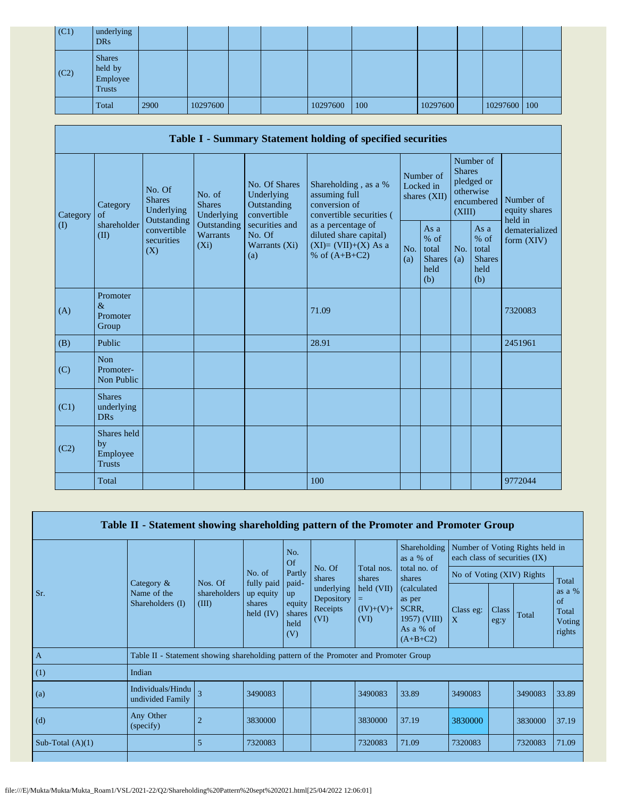| (C1) | underlying<br><b>DRs</b>                              |      |          |  |          |     |          |                |  |
|------|-------------------------------------------------------|------|----------|--|----------|-----|----------|----------------|--|
| (C2) | <b>Shares</b><br>held by<br>Employee<br><b>Trusts</b> |      |          |  |          |     |          |                |  |
|      | Total                                                 | 2900 | 10297600 |  | 10297600 | 100 | 10297600 | 10297600   100 |  |

|                   | Table I - Summary Statement holding of specified securities                                       |                                  |                                                           |                                                                                    |                                                                                          |            |                                                                               |            |                                                         |                              |  |  |  |
|-------------------|---------------------------------------------------------------------------------------------------|----------------------------------|-----------------------------------------------------------|------------------------------------------------------------------------------------|------------------------------------------------------------------------------------------|------------|-------------------------------------------------------------------------------|------------|---------------------------------------------------------|------------------------------|--|--|--|
| Category          | No. Of<br>No. of<br><b>Shares</b><br><b>Shares</b><br>Category<br>Underlying<br>of<br>Outstanding | Underlying                       | No. Of Shares<br>Underlying<br>Outstanding<br>convertible | Shareholding, as a %<br>assuming full<br>conversion of<br>convertible securities ( | Number of<br>Locked in<br>shares (XII)                                                   |            | Number of<br><b>Shares</b><br>pledged or<br>otherwise<br>encumbered<br>(XIII) |            | Number of<br>equity shares<br>held in                   |                              |  |  |  |
| $\textcircled{1}$ | shareholder<br>(II)                                                                               | convertible<br>securities<br>(X) | Outstanding<br>Warrants<br>$(X_i)$                        | securities and<br>No. Of<br>Warrants (Xi)<br>(a)                                   | as a percentage of<br>diluted share capital)<br>$(XI)=(VII)+(X)$ As a<br>% of $(A+B+C2)$ | No.<br>(a) | As a<br>$%$ of<br>total<br><b>Shares</b><br>held<br>(b)                       | No.<br>(a) | As a<br>$%$ of<br>total<br><b>Shares</b><br>held<br>(b) | dematerialized<br>form (XIV) |  |  |  |
| (A)               | Promoter<br>$\&$<br>Promoter<br>Group                                                             |                                  |                                                           |                                                                                    | 71.09                                                                                    |            |                                                                               |            |                                                         | 7320083                      |  |  |  |
| (B)               | Public                                                                                            |                                  |                                                           |                                                                                    | 28.91                                                                                    |            |                                                                               |            |                                                         | 2451961                      |  |  |  |
| (C)               | <b>Non</b><br>Promoter-<br>Non Public                                                             |                                  |                                                           |                                                                                    |                                                                                          |            |                                                                               |            |                                                         |                              |  |  |  |
| (C1)              | <b>Shares</b><br>underlying<br><b>DRs</b>                                                         |                                  |                                                           |                                                                                    |                                                                                          |            |                                                                               |            |                                                         |                              |  |  |  |
| (C2)              | Shares held<br>by<br>Employee<br><b>Trusts</b>                                                    |                                  |                                                           |                                                                                    |                                                                                          |            |                                                                               |            |                                                         |                              |  |  |  |
|                   | Total                                                                                             |                                  |                                                           |                                                                                    | 100                                                                                      |            |                                                                               |            |                                                         | 9772044                      |  |  |  |

| Table II - Statement showing shareholding pattern of the Promoter and Promoter Group |                                                                                      |                         |                                    |                                       |                                              |                                   |                                                                            |                           |                                                                               |         |                                       |
|--------------------------------------------------------------------------------------|--------------------------------------------------------------------------------------|-------------------------|------------------------------------|---------------------------------------|----------------------------------------------|-----------------------------------|----------------------------------------------------------------------------|---------------------------|-------------------------------------------------------------------------------|---------|---------------------------------------|
|                                                                                      |                                                                                      |                         |                                    | No.<br>Of                             | Shareholding<br>as a % of                    |                                   | each class of securities (IX)                                              |                           | Number of Voting Rights held in<br>Total<br>of<br>Total<br>3490083<br>3830000 |         |                                       |
|                                                                                      | Category $\&$                                                                        | Nos. Of                 | No. of<br>fully paid               | No. Of<br>Partly<br>shares<br>paid-   | Total nos.<br>shares                         | total no. of<br>shares            |                                                                            |                           | No of Voting (XIV) Rights                                                     |         |                                       |
| Sr.                                                                                  | Name of the<br>Shareholders (I)                                                      | shareholders  <br>(III) | up equity<br>shares<br>held $(IV)$ | up<br>equity<br>shares<br>held<br>(V) | underlying<br>Depository<br>Receipts<br>(VI) | held (VII)<br>$(IV)+(V)+$<br>(VI) | (calculated)<br>as per<br>SCRR.<br>1957) (VIII)<br>As a % of<br>$(A+B+C2)$ | Class eg:<br>$\mathbf{X}$ | Class<br>eg:y                                                                 |         | as a $%$<br>Total<br>Voting<br>rights |
| $\overline{A}$                                                                       | Table II - Statement showing shareholding pattern of the Promoter and Promoter Group |                         |                                    |                                       |                                              |                                   |                                                                            |                           |                                                                               |         |                                       |
| (1)                                                                                  | Indian                                                                               |                         |                                    |                                       |                                              |                                   |                                                                            |                           |                                                                               |         |                                       |
| (a)                                                                                  | Individuals/Hindu<br>undivided Family                                                | $\overline{\mathbf{3}}$ | 3490083                            |                                       |                                              | 3490083                           | 33.89                                                                      | 3490083                   |                                                                               |         | 33.89                                 |
| (d)                                                                                  | Any Other<br>(specify)                                                               |                         | 3830000                            |                                       |                                              | 3830000                           | 37.19                                                                      | 3830000                   |                                                                               |         | 37.19                                 |
| Sub-Total $(A)(1)$                                                                   |                                                                                      | 5                       | 7320083                            |                                       |                                              | 7320083                           | 71.09                                                                      | 7320083                   |                                                                               | 7320083 | 71.09                                 |
|                                                                                      |                                                                                      |                         |                                    |                                       |                                              |                                   |                                                                            |                           |                                                                               |         |                                       |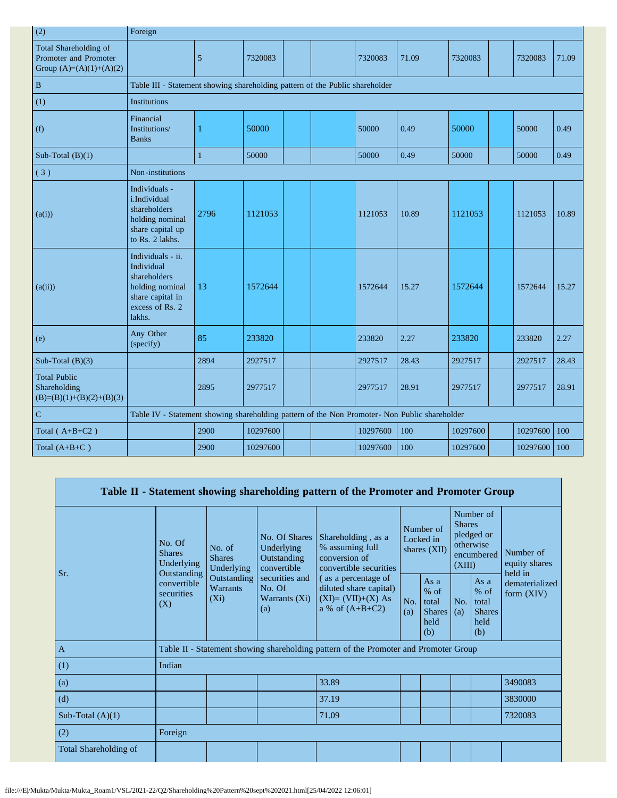| (2)                                                                         | Foreign                                                                                                             |              |          |  |          |       |          |          |       |
|-----------------------------------------------------------------------------|---------------------------------------------------------------------------------------------------------------------|--------------|----------|--|----------|-------|----------|----------|-------|
| Total Shareholding of<br>Promoter and Promoter<br>Group $(A)=(A)(1)+(A)(2)$ |                                                                                                                     | 5            | 7320083  |  | 7320083  | 71.09 | 7320083  | 7320083  | 71.09 |
| $\, {\bf B}$                                                                | Table III - Statement showing shareholding pattern of the Public shareholder                                        |              |          |  |          |       |          |          |       |
| (1)                                                                         | <b>Institutions</b>                                                                                                 |              |          |  |          |       |          |          |       |
| (f)                                                                         | Financial<br>Institutions/<br><b>Banks</b>                                                                          | 1            | 50000    |  | 50000    | 0.49  | 50000    | 50000    | 0.49  |
| Sub-Total $(B)(1)$                                                          |                                                                                                                     | $\mathbf{1}$ | 50000    |  | 50000    | 0.49  | 50000    | 50000    | 0.49  |
| (3)                                                                         | Non-institutions                                                                                                    |              |          |  |          |       |          |          |       |
| (a(i))                                                                      | Individuals -<br>i.Individual<br>shareholders<br>holding nominal<br>share capital up<br>to Rs. 2 lakhs.             | 2796         | 1121053  |  | 1121053  | 10.89 | 1121053  | 1121053  | 10.89 |
| (a(ii))                                                                     | Individuals - ii.<br>Individual<br>shareholders<br>holding nominal<br>share capital in<br>excess of Rs. 2<br>lakhs. | 13           | 1572644  |  | 1572644  | 15.27 | 1572644  | 1572644  | 15.27 |
| (e)                                                                         | Any Other<br>(specify)                                                                                              | 85           | 233820   |  | 233820   | 2.27  | 233820   | 233820   | 2.27  |
| Sub-Total $(B)(3)$                                                          |                                                                                                                     | 2894         | 2927517  |  | 2927517  | 28.43 | 2927517  | 2927517  | 28.43 |
| <b>Total Public</b><br>Shareholding<br>$(B)=(B)(1)+(B)(2)+(B)(3)$           |                                                                                                                     | 2895         | 2977517  |  | 2977517  | 28.91 | 2977517  | 2977517  | 28.91 |
| ${\bf C}$                                                                   | Table IV - Statement showing shareholding pattern of the Non Promoter- Non Public shareholder                       |              |          |  |          |       |          |          |       |
| Total $(A+B+C2)$                                                            |                                                                                                                     | 2900         | 10297600 |  | 10297600 | 100   | 10297600 | 10297600 | 100   |
| Total $(A+B+C)$                                                             |                                                                                                                     | 2900         | 10297600 |  | 10297600 | 100   | 10297600 | 10297600 | 100   |

|                       |                                                      |                                       |                                                           | Table II - Statement showing shareholding pattern of the Promoter and Promoter Group      |                                        |                                                           |                                                                               |                                                       |                                       |
|-----------------------|------------------------------------------------------|---------------------------------------|-----------------------------------------------------------|-------------------------------------------------------------------------------------------|----------------------------------------|-----------------------------------------------------------|-------------------------------------------------------------------------------|-------------------------------------------------------|---------------------------------------|
| Sr.                   | No. Of<br><b>Shares</b><br>Underlying<br>Outstanding | No. of<br><b>Shares</b><br>Underlying | No. Of Shares<br>Underlying<br>Outstanding<br>convertible | Shareholding, as a<br>% assuming full<br>conversion of<br>convertible securities          | Number of<br>Locked in<br>shares (XII) |                                                           | Number of<br><b>Shares</b><br>pledged or<br>otherwise<br>encumbered<br>(XIII) |                                                       | Number of<br>equity shares<br>held in |
|                       | convertible<br>securities<br>(X)                     | Outstanding<br>Warrants<br>$(X_i)$    | securities and<br>No. Of<br>Warrants $(X_i)$<br>(a)       | (as a percentage of<br>diluted share capital)<br>$(XI)=(VII)+(X) As$<br>a % of $(A+B+C2)$ | No.<br>(a)                             | As $a$<br>$%$ of<br>total<br><b>Shares</b><br>held<br>(b) | No.<br>(a)                                                                    | As a<br>% of<br>total<br><b>Shares</b><br>held<br>(b) | dematerialized<br>form $(XIV)$        |
| $\mathbf{A}$          |                                                      |                                       |                                                           | Table II - Statement showing shareholding pattern of the Promoter and Promoter Group      |                                        |                                                           |                                                                               |                                                       |                                       |
| (1)                   | Indian                                               |                                       |                                                           |                                                                                           |                                        |                                                           |                                                                               |                                                       |                                       |
| (a)                   |                                                      |                                       |                                                           | 33.89                                                                                     |                                        |                                                           |                                                                               |                                                       | 3490083                               |
| (d)                   |                                                      |                                       |                                                           | 37.19                                                                                     |                                        |                                                           |                                                                               |                                                       | 3830000                               |
| Sub-Total $(A)(1)$    |                                                      |                                       |                                                           | 71.09                                                                                     |                                        |                                                           |                                                                               |                                                       | 7320083                               |
| (2)                   | Foreign                                              |                                       |                                                           |                                                                                           |                                        |                                                           |                                                                               |                                                       |                                       |
| Total Shareholding of |                                                      |                                       |                                                           |                                                                                           |                                        |                                                           |                                                                               |                                                       |                                       |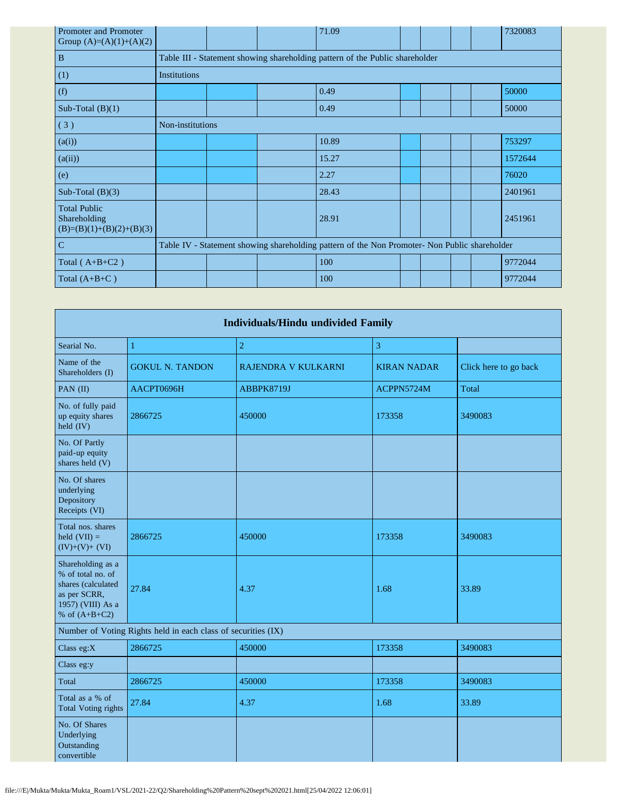| Promoter and Promoter<br>Group $(A)=(A)(1)+(A)(2)$                |                     |  | 71.09                                                                                         |  |  | 7320083 |
|-------------------------------------------------------------------|---------------------|--|-----------------------------------------------------------------------------------------------|--|--|---------|
| $\, {\bf B}$                                                      |                     |  | Table III - Statement showing shareholding pattern of the Public shareholder                  |  |  |         |
| (1)                                                               | <b>Institutions</b> |  |                                                                                               |  |  |         |
| (f)                                                               |                     |  | 0.49                                                                                          |  |  | 50000   |
| Sub-Total $(B)(1)$                                                |                     |  | 0.49                                                                                          |  |  | 50000   |
| (3)                                                               | Non-institutions    |  |                                                                                               |  |  |         |
| (a(i))                                                            |                     |  | 10.89                                                                                         |  |  | 753297  |
| (a(ii))                                                           |                     |  | 15.27                                                                                         |  |  | 1572644 |
| (e)                                                               |                     |  | 2.27                                                                                          |  |  | 76020   |
| Sub-Total $(B)(3)$                                                |                     |  | 28.43                                                                                         |  |  | 2401961 |
| <b>Total Public</b><br>Shareholding<br>$(B)=(B)(1)+(B)(2)+(B)(3)$ |                     |  | 28.91                                                                                         |  |  | 2451961 |
| $\mathbf C$                                                       |                     |  | Table IV - Statement showing shareholding pattern of the Non Promoter- Non Public shareholder |  |  |         |
| Total $(A+B+C2)$                                                  |                     |  | 100                                                                                           |  |  | 9772044 |
| Total $(A+B+C)$                                                   |                     |  | 100                                                                                           |  |  | 9772044 |

| <b>Individuals/Hindu undivided Family</b>                                                                            |                                                               |                     |                    |                       |  |  |  |  |  |  |
|----------------------------------------------------------------------------------------------------------------------|---------------------------------------------------------------|---------------------|--------------------|-----------------------|--|--|--|--|--|--|
| Searial No.                                                                                                          | 1                                                             | $\sqrt{2}$          | 3                  |                       |  |  |  |  |  |  |
| Name of the<br>Shareholders (I)                                                                                      | <b>GOKUL N. TANDON</b>                                        | RAJENDRA V KULKARNI | <b>KIRAN NADAR</b> | Click here to go back |  |  |  |  |  |  |
| PAN (II)                                                                                                             | AACPT0696H                                                    | ABBPK8719J          | ACPPN5724M         | Total                 |  |  |  |  |  |  |
| No. of fully paid<br>up equity shares<br>held (IV)                                                                   | 2866725                                                       | 450000              | 173358             | 3490083               |  |  |  |  |  |  |
| No. Of Partly<br>paid-up equity<br>shares held (V)                                                                   |                                                               |                     |                    |                       |  |  |  |  |  |  |
| No. Of shares<br>underlying<br>Depository<br>Receipts (VI)                                                           |                                                               |                     |                    |                       |  |  |  |  |  |  |
| Total nos. shares<br>held $(VII) =$<br>$(IV)+(V)+(VI)$                                                               | 2866725                                                       | 450000              | 173358             | 3490083               |  |  |  |  |  |  |
| Shareholding as a<br>% of total no. of<br>shares (calculated<br>as per SCRR,<br>1957) (VIII) As a<br>% of $(A+B+C2)$ | 27.84                                                         | 4.37                | 1.68               | 33.89                 |  |  |  |  |  |  |
|                                                                                                                      | Number of Voting Rights held in each class of securities (IX) |                     |                    |                       |  |  |  |  |  |  |
| Class eg:X                                                                                                           | 2866725                                                       | 450000              | 173358             | 3490083               |  |  |  |  |  |  |
| Class eg:y                                                                                                           |                                                               |                     |                    |                       |  |  |  |  |  |  |
| Total                                                                                                                | 2866725                                                       | 450000              | 173358             | 3490083               |  |  |  |  |  |  |
| Total as a % of<br><b>Total Voting rights</b>                                                                        | 27.84                                                         | 4.37                | 1.68               | 33.89                 |  |  |  |  |  |  |
| No. Of Shares<br>Underlying<br>Outstanding<br>convertible                                                            |                                                               |                     |                    |                       |  |  |  |  |  |  |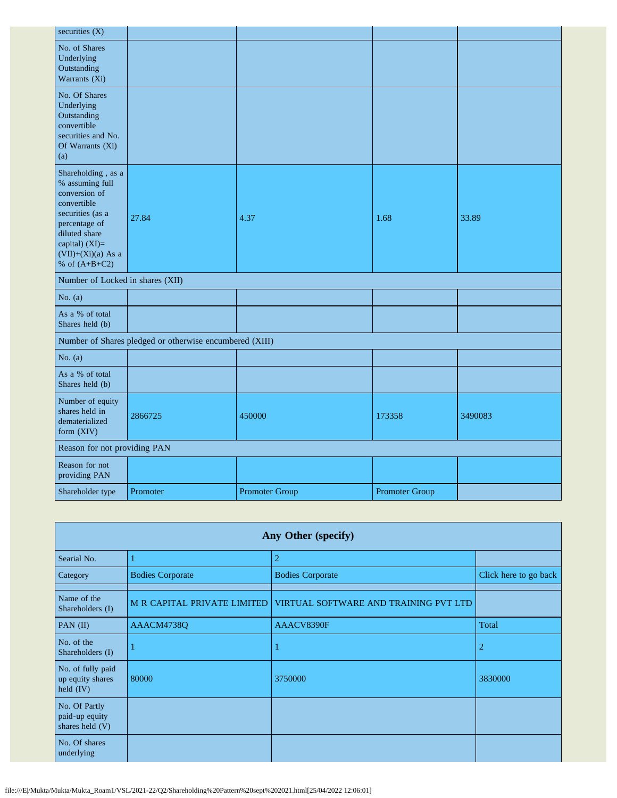| securities $(X)$                                                                                                                                                                         |                                                         |                       |                       |         |
|------------------------------------------------------------------------------------------------------------------------------------------------------------------------------------------|---------------------------------------------------------|-----------------------|-----------------------|---------|
| No. of Shares<br>Underlying<br>Outstanding<br>Warrants (Xi)                                                                                                                              |                                                         |                       |                       |         |
| No. Of Shares<br>Underlying<br>Outstanding<br>convertible<br>securities and No.<br>Of Warrants (Xi)<br>(a)                                                                               |                                                         |                       |                       |         |
| Shareholding, as a<br>% assuming full<br>conversion of<br>convertible<br>securities (as a<br>percentage of<br>diluted share<br>capital) (XI)=<br>$(VII)+(Xi)(a)$ As a<br>% of $(A+B+C2)$ | 27.84                                                   | 4.37                  | 1.68                  | 33.89   |
| Number of Locked in shares (XII)                                                                                                                                                         |                                                         |                       |                       |         |
| No. $(a)$                                                                                                                                                                                |                                                         |                       |                       |         |
| As a % of total<br>Shares held (b)                                                                                                                                                       |                                                         |                       |                       |         |
|                                                                                                                                                                                          | Number of Shares pledged or otherwise encumbered (XIII) |                       |                       |         |
| No. $(a)$                                                                                                                                                                                |                                                         |                       |                       |         |
| As a % of total<br>Shares held (b)                                                                                                                                                       |                                                         |                       |                       |         |
| Number of equity<br>shares held in<br>dematerialized<br>form (XIV)                                                                                                                       | 2866725                                                 | 450000                | 173358                | 3490083 |
| Reason for not providing PAN                                                                                                                                                             |                                                         |                       |                       |         |
| Reason for not<br>providing PAN                                                                                                                                                          |                                                         |                       |                       |         |
| Shareholder type                                                                                                                                                                         | Promoter                                                | <b>Promoter Group</b> | <b>Promoter Group</b> |         |

| Any Other (specify)                                         |                         |                                                                   |                       |  |  |  |  |  |  |  |
|-------------------------------------------------------------|-------------------------|-------------------------------------------------------------------|-----------------------|--|--|--|--|--|--|--|
| Searial No.                                                 |                         | $\overline{2}$                                                    |                       |  |  |  |  |  |  |  |
| Category                                                    | <b>Bodies Corporate</b> | <b>Bodies Corporate</b>                                           | Click here to go back |  |  |  |  |  |  |  |
| Name of the<br>Shareholders (I)                             |                         | M R CAPITAL PRIVATE LIMITED VIRTUAL SOFTWARE AND TRAINING PVT LTD |                       |  |  |  |  |  |  |  |
| PAN $(II)$                                                  | AAACM4738Q              | AAACV8390F                                                        | Total                 |  |  |  |  |  |  |  |
| No. of the<br>Shareholders (I)                              |                         |                                                                   | 2                     |  |  |  |  |  |  |  |
| No. of fully paid<br>up equity shares<br>$\text{held (IV)}$ | 80000                   | 3750000                                                           | 3830000               |  |  |  |  |  |  |  |
| No. Of Partly<br>paid-up equity<br>shares held (V)          |                         |                                                                   |                       |  |  |  |  |  |  |  |
| No. Of shares<br>underlying                                 |                         |                                                                   |                       |  |  |  |  |  |  |  |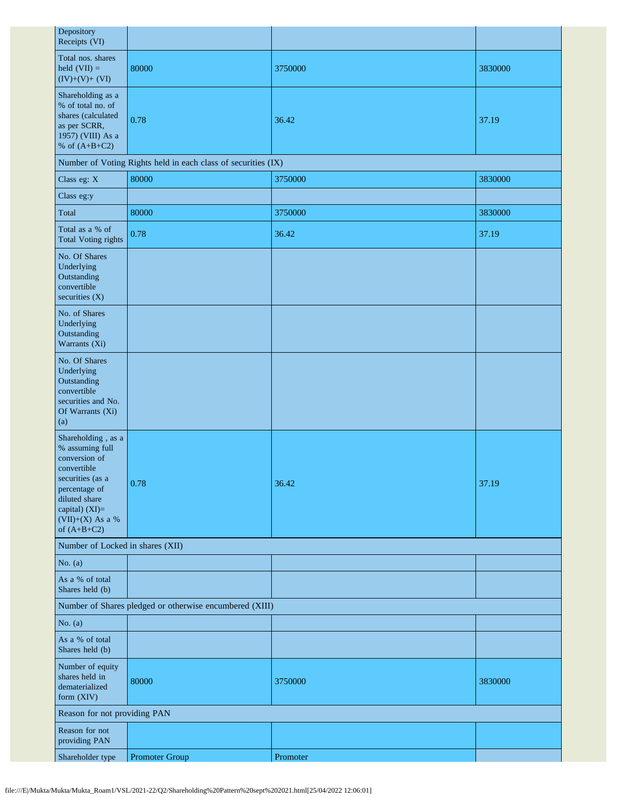| Depository<br>Receipts (VI)                                                                                                                                                          |                                                               |          |         |  |  |
|--------------------------------------------------------------------------------------------------------------------------------------------------------------------------------------|---------------------------------------------------------------|----------|---------|--|--|
| Total nos. shares<br>held $(VII) =$<br>$(IV)+(V)+(VI)$                                                                                                                               | 80000                                                         | 3750000  | 3830000 |  |  |
| Shareholding as a<br>% of total no. of<br>shares (calculated<br>as per SCRR,<br>1957) (VIII) As a<br>% of $(A+B+C2)$                                                                 | 0.78                                                          | 36.42    | 37.19   |  |  |
|                                                                                                                                                                                      | Number of Voting Rights held in each class of securities (IX) |          |         |  |  |
| Class eg: X                                                                                                                                                                          | 80000                                                         | 3750000  | 3830000 |  |  |
| Class eg:y                                                                                                                                                                           |                                                               |          |         |  |  |
| Total                                                                                                                                                                                | 80000                                                         | 3750000  | 3830000 |  |  |
| Total as a % of<br><b>Total Voting rights</b>                                                                                                                                        | 0.78                                                          | 36.42    | 37.19   |  |  |
| No. Of Shares<br>Underlying<br>Outstanding<br>convertible<br>securities (X)                                                                                                          |                                                               |          |         |  |  |
| No. of Shares<br>Underlying<br>Outstanding<br>Warrants (Xi)                                                                                                                          |                                                               |          |         |  |  |
| No. Of Shares<br>Underlying<br>Outstanding<br>convertible<br>securities and No.<br>Of Warrants (Xi)<br>(a)                                                                           |                                                               |          |         |  |  |
| Shareholding, as a<br>% assuming full<br>conversion of<br>convertible<br>securities (as a<br>percentage of<br>diluted share<br>capital) (XI)=<br>$(VII)+(X)$ As a %<br>of $(A+B+C2)$ | 0.78                                                          | 36.42    | 37.19   |  |  |
| Number of Locked in shares (XII)                                                                                                                                                     |                                                               |          |         |  |  |
| No. $(a)$                                                                                                                                                                            |                                                               |          |         |  |  |
| As a % of total<br>Shares held (b)                                                                                                                                                   |                                                               |          |         |  |  |
| Number of Shares pledged or otherwise encumbered (XIII)                                                                                                                              |                                                               |          |         |  |  |
| No. $(a)$                                                                                                                                                                            |                                                               |          |         |  |  |
| As a % of total<br>Shares held (b)                                                                                                                                                   |                                                               |          |         |  |  |
| Number of equity<br>shares held in<br>dematerialized<br>form (XIV)                                                                                                                   | 80000                                                         | 3750000  | 3830000 |  |  |
| Reason for not providing PAN                                                                                                                                                         |                                                               |          |         |  |  |
| Reason for not<br>providing PAN                                                                                                                                                      |                                                               |          |         |  |  |
| Shareholder type                                                                                                                                                                     | Promoter Group                                                | Promoter |         |  |  |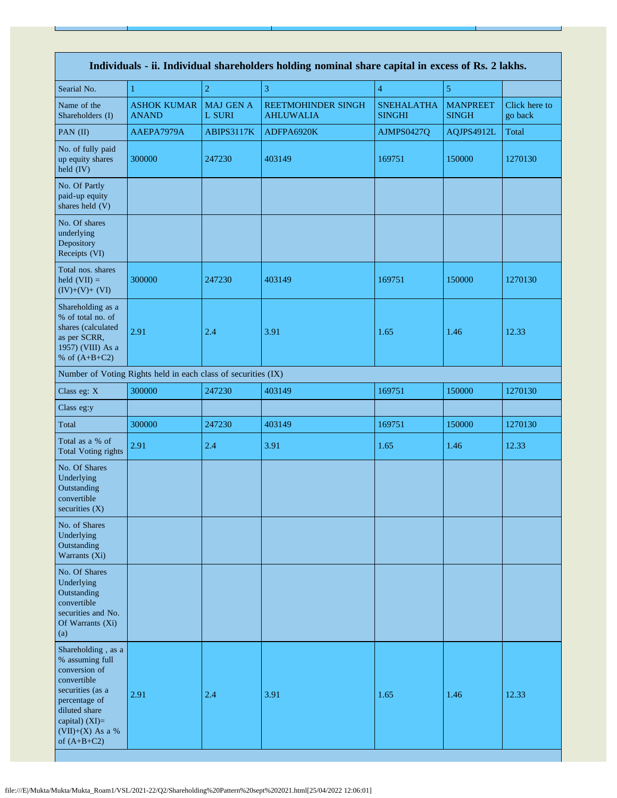| Individuals - ii. Individual shareholders holding nominal share capital in excess of Rs. 2 lakhs.                                                                                      |                                                               |                            |                                        |                                    |                                 |                          |
|----------------------------------------------------------------------------------------------------------------------------------------------------------------------------------------|---------------------------------------------------------------|----------------------------|----------------------------------------|------------------------------------|---------------------------------|--------------------------|
| Searial No.                                                                                                                                                                            | 1                                                             | $\overline{2}$             | 3                                      | $\overline{4}$                     | 5                               |                          |
| Name of the<br>Shareholders (I)                                                                                                                                                        | <b>ASHOK KUMAR</b><br><b>ANAND</b>                            | <b>MAJ GEN A</b><br>L SURI | REETMOHINDER SINGH<br><b>AHLUWALIA</b> | <b>SNEHALATHA</b><br><b>SINGHI</b> | <b>MANPREET</b><br><b>SINGH</b> | Click here to<br>go back |
| PAN $(II)$                                                                                                                                                                             | AAEPA7979A                                                    | ABIPS3117K                 | ADFPA6920K                             | AJMPS0427Q                         | AQJPS4912L                      | Total                    |
| No. of fully paid<br>up equity shares<br>held (IV)                                                                                                                                     | 300000                                                        | 247230                     | 403149                                 | 169751                             | 150000                          | 1270130                  |
| No. Of Partly<br>paid-up equity<br>shares held (V)                                                                                                                                     |                                                               |                            |                                        |                                    |                                 |                          |
| No. Of shares<br>underlying<br>Depository<br>Receipts (VI)                                                                                                                             |                                                               |                            |                                        |                                    |                                 |                          |
| Total nos. shares<br>held $(VII) =$<br>$(IV)+(V)+(VI)$                                                                                                                                 | 300000                                                        | 247230                     | 403149                                 | 169751                             | 150000                          | 1270130                  |
| Shareholding as a<br>% of total no. of<br>shares (calculated<br>as per SCRR,<br>1957) (VIII) As a<br>% of $(A+B+C2)$                                                                   | 2.91                                                          | 2.4                        | 3.91                                   | 1.65                               | 1.46                            | 12.33                    |
|                                                                                                                                                                                        | Number of Voting Rights held in each class of securities (IX) |                            |                                        |                                    |                                 |                          |
| Class eg: X                                                                                                                                                                            | 300000                                                        | 247230                     | 403149                                 | 169751                             | 150000                          | 1270130                  |
| Class eg:y                                                                                                                                                                             |                                                               |                            |                                        |                                    |                                 |                          |
| Total                                                                                                                                                                                  | 300000                                                        | 247230                     | 403149                                 | 169751                             | 150000                          | 1270130                  |
| Total as a % of<br><b>Total Voting rights</b>                                                                                                                                          | 2.91                                                          | 2.4                        | 3.91                                   | 1.65                               | 1.46                            | 12.33                    |
| No. Of Shares<br>Underlying<br>Outstanding<br>convertible<br>securities (X)                                                                                                            |                                                               |                            |                                        |                                    |                                 |                          |
| No. of Shares<br>Underlying<br>Outstanding<br>Warrants (Xi)                                                                                                                            |                                                               |                            |                                        |                                    |                                 |                          |
| No. Of Shares<br>Underlying<br>Outstanding<br>convertible<br>securities and No.<br>Of Warrants (Xi)<br>(a)                                                                             |                                                               |                            |                                        |                                    |                                 |                          |
| Shareholding, as a<br>% assuming full<br>conversion of<br>convertible<br>securities (as a<br>percentage of<br>diluted share<br>capital) $(XI)=$<br>$(VII)+(X)$ As a %<br>of $(A+B+C2)$ | 2.91                                                          | 2.4                        | 3.91                                   | 1.65                               | 1.46                            | 12.33                    |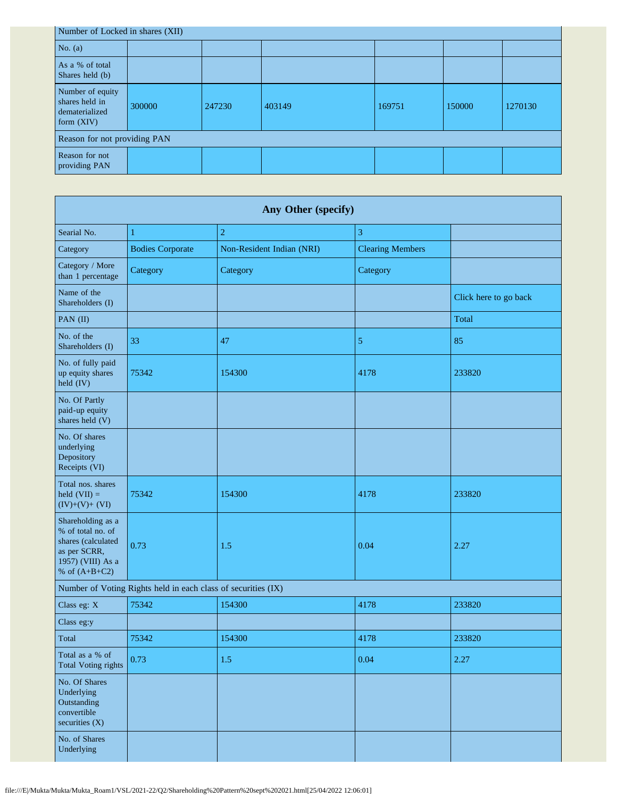| Number of Locked in shares (XII)                                     |        |        |        |        |        |         |  |
|----------------------------------------------------------------------|--------|--------|--------|--------|--------|---------|--|
| No. $(a)$                                                            |        |        |        |        |        |         |  |
| As a % of total<br>Shares held (b)                                   |        |        |        |        |        |         |  |
| Number of equity<br>shares held in<br>dematerialized<br>form $(XIV)$ | 300000 | 247230 | 403149 | 169751 | 150000 | 1270130 |  |
| Reason for not providing PAN                                         |        |        |        |        |        |         |  |
| Reason for not<br>providing PAN                                      |        |        |        |        |        |         |  |

| Any Other (specify)                                                                                                  |                         |                           |                         |                       |  |  |  |
|----------------------------------------------------------------------------------------------------------------------|-------------------------|---------------------------|-------------------------|-----------------------|--|--|--|
| Searial No.                                                                                                          | 1                       | $\overline{c}$            | 3                       |                       |  |  |  |
| Category                                                                                                             | <b>Bodies Corporate</b> | Non-Resident Indian (NRI) | <b>Clearing Members</b> |                       |  |  |  |
| Category / More<br>than 1 percentage                                                                                 | Category                | Category                  | Category                |                       |  |  |  |
| Name of the<br>Shareholders (I)                                                                                      |                         |                           |                         | Click here to go back |  |  |  |
| PAN (II)                                                                                                             |                         |                           |                         | Total                 |  |  |  |
| No. of the<br>Shareholders (I)                                                                                       | 33                      | 47                        | $\sqrt{5}$              | 85                    |  |  |  |
| No. of fully paid<br>up equity shares<br>held (IV)                                                                   | 75342                   | 154300                    | 4178                    | 233820                |  |  |  |
| No. Of Partly<br>paid-up equity<br>shares held (V)                                                                   |                         |                           |                         |                       |  |  |  |
| No. Of shares<br>underlying<br>Depository<br>Receipts (VI)                                                           |                         |                           |                         |                       |  |  |  |
| Total nos. shares<br>held $(VII) =$<br>$(IV)+(V)+(VI)$                                                               | 75342                   | 154300                    | 4178                    | 233820                |  |  |  |
| Shareholding as a<br>% of total no. of<br>shares (calculated<br>as per SCRR,<br>1957) (VIII) As a<br>% of $(A+B+C2)$ | 0.73                    | 1.5                       | 0.04                    | 2.27                  |  |  |  |
| Number of Voting Rights held in each class of securities (IX)                                                        |                         |                           |                         |                       |  |  |  |
| Class eg: X                                                                                                          | 75342                   | 154300                    | 4178                    | 233820                |  |  |  |
| Class eg:y                                                                                                           |                         |                           |                         |                       |  |  |  |
| Total                                                                                                                | 75342                   | 154300                    | 4178                    | 233820                |  |  |  |
| Total as a % of<br><b>Total Voting rights</b>                                                                        | 0.73                    | 1.5                       | 0.04                    | 2.27                  |  |  |  |
| No. Of Shares<br>Underlying<br>Outstanding<br>convertible<br>securities $(X)$                                        |                         |                           |                         |                       |  |  |  |
| No. of Shares<br>Underlying                                                                                          |                         |                           |                         |                       |  |  |  |